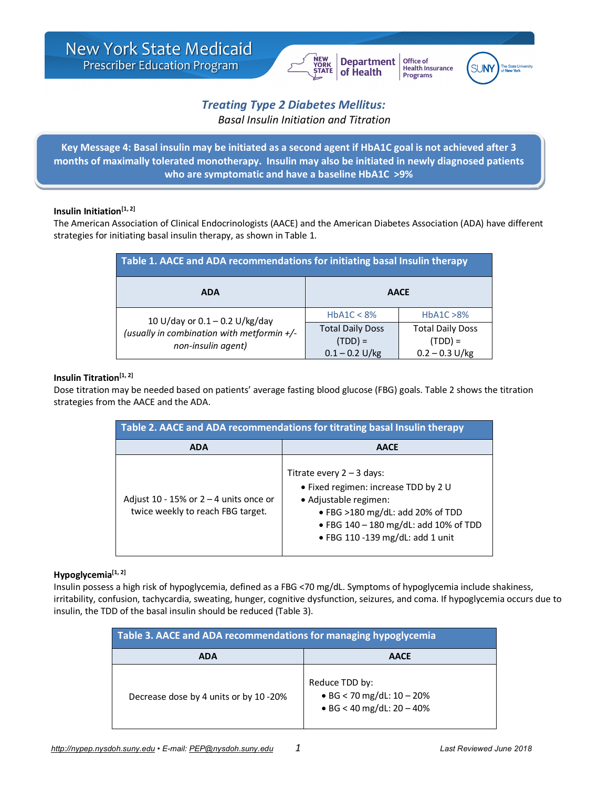

Office of **Health Insurance** Programs



# *Treating Type 2 Diabetes Mellitus: Basal Insulin Initiation and Titration*

**Key Message 4: Basal insulin may be initiated as a second agent if HbA1C goal is not achieved after 3 months of maximally tolerated monotherapy. Insulin may also be initiated in newly diagnosed patients who are symptomatic and have a baseline HbA1C >9%** 

## **Insulin Initiation[1, 2]**

The American Association of Clinical Endocrinologists (AACE) and the American Diabetes Association (ADA) have different strategies for initiating basal insulin therapy, as shown in Table 1.

| Table 1. AACE and ADA recommendations for initiating basal Insulin therapy                           |                                                          |                                                          |  |
|------------------------------------------------------------------------------------------------------|----------------------------------------------------------|----------------------------------------------------------|--|
| <b>ADA</b>                                                                                           | <b>AACE</b>                                              |                                                          |  |
| 10 U/day or $0.1 - 0.2$ U/kg/day<br>(usually in combination with metformin +/-<br>non-insulin agent) | HbA1C < 8%                                               | HbA1C > 8%                                               |  |
|                                                                                                      | <b>Total Daily Doss</b><br>$(TDD) =$<br>$0.1 - 0.2$ U/kg | <b>Total Daily Doss</b><br>$(TDD) =$<br>$0.2 - 0.3$ U/kg |  |

#### **Insulin Titration[1, 2]**

Dose titration may be needed based on patients' average fasting blood glucose (FBG) goals. Table 2 shows the titration strategies from the AACE and the ADA.

| Table 2. AACE and ADA recommendations for titrating basal Insulin therapy     |                                                                                                                                                                                                              |  |
|-------------------------------------------------------------------------------|--------------------------------------------------------------------------------------------------------------------------------------------------------------------------------------------------------------|--|
| <b>ADA</b>                                                                    | <b>AACE</b>                                                                                                                                                                                                  |  |
| Adjust 10 - 15% or $2 - 4$ units once or<br>twice weekly to reach FBG target. | Titrate every $2 - 3$ days:<br>• Fixed regimen: increase TDD by 2 U<br>• Adjustable regimen:<br>● FBG >180 mg/dL: add 20% of TDD<br>• FBG 140 - 180 mg/dL: add 10% of TDD<br>. FBG 110-139 mg/dL: add 1 unit |  |

## **Hypoglycemia[1, 2]**

Insulin possess a high risk of hypoglycemia, defined as a FBG <70 mg/dL. Symptoms of hypoglycemia include shakiness, irritability, confusion, tachycardia, sweating, hunger, cognitive dysfunction, seizures, and coma. If hypoglycemia occurs due to insulin, the TDD of the basal insulin should be reduced (Table 3).

| Table 3. AACE and ADA recommendations for managing hypoglycemia |                                                                                    |  |  |
|-----------------------------------------------------------------|------------------------------------------------------------------------------------|--|--|
| <b>ADA</b>                                                      | <b>AACE</b>                                                                        |  |  |
| Decrease dose by 4 units or by 10 -20%                          | Reduce TDD by:<br>• BG < 70 mg/dL: $10 - 20%$<br>$\bullet$ BG < 40 mg/dL: 20 - 40% |  |  |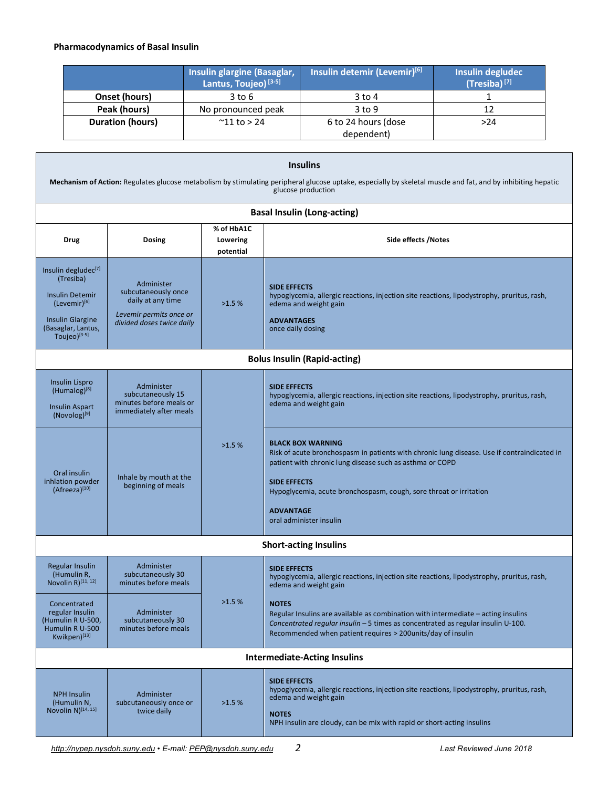# **Pharmacodynamics of Basal Insulin**

|                  | Insulin glargine (Basaglar,<br>Lantus, Toujeo) <sup>[3-5]</sup> | Insulin detemir (Levemir) <sup>[6]</sup> | <b>Insulin degludec</b><br>$(Tresiba)^{[7]}$ |
|------------------|-----------------------------------------------------------------|------------------------------------------|----------------------------------------------|
| Onset (hours)    | 3 to 6                                                          | $3$ to 4                                 |                                              |
| Peak (hours)     | No pronounced peak                                              | $3$ to 9                                 | 12                                           |
| Duration (hours) | $^{\sim}$ 11 to > 24                                            | 6 to 24 hours (dose                      | >24                                          |
|                  |                                                                 | dependent)                               |                                              |

| <b>Insulins</b><br>Mechanism of Action: Regulates glucose metabolism by stimulating peripheral glucose uptake, especially by skeletal muscle and fat, and by inhibiting hepatic<br>glucose production |                                                                                                                |                                     |                                                                                                                                                                                                                                                                                                                                 |  |
|-------------------------------------------------------------------------------------------------------------------------------------------------------------------------------------------------------|----------------------------------------------------------------------------------------------------------------|-------------------------------------|---------------------------------------------------------------------------------------------------------------------------------------------------------------------------------------------------------------------------------------------------------------------------------------------------------------------------------|--|
|                                                                                                                                                                                                       |                                                                                                                |                                     | <b>Basal Insulin (Long-acting)</b>                                                                                                                                                                                                                                                                                              |  |
| Drug                                                                                                                                                                                                  | <b>Dosing</b>                                                                                                  | % of HbA1C<br>Lowering<br>potential | Side effects /Notes                                                                                                                                                                                                                                                                                                             |  |
| Insulin degludec <sup>[7]</sup><br>(Tresiba)<br><b>Insulin Detemir</b><br>(Levemir)[6]<br><b>Insulin Glargine</b><br>(Basaglar, Lantus,<br>Toujeo) $[3-5]$                                            | Administer<br>subcutaneously once<br>daily at any time<br>Levemir permits once or<br>divided doses twice daily | >1.5%                               | <b>SIDE EFFECTS</b><br>hypoglycemia, allergic reactions, injection site reactions, lipodystrophy, pruritus, rash,<br>edema and weight gain<br><b>ADVANTAGES</b><br>once daily dosing                                                                                                                                            |  |
|                                                                                                                                                                                                       | <b>Bolus Insulin (Rapid-acting)</b>                                                                            |                                     |                                                                                                                                                                                                                                                                                                                                 |  |
| <b>Insulin Lispro</b><br>$(Humalog)^{[8]}$<br><b>Insulin Aspart</b><br>(Novolog) <sup>[9]</sup>                                                                                                       | Administer<br>subcutaneously 15<br>minutes before meals or<br>immediately after meals                          | >1.5%                               | <b>SIDE EFFECTS</b><br>hypoglycemia, allergic reactions, injection site reactions, lipodystrophy, pruritus, rash,<br>edema and weight gain                                                                                                                                                                                      |  |
| Oral insulin<br>inhlation powder<br>(Afreeza)[10]                                                                                                                                                     | Inhale by mouth at the<br>beginning of meals                                                                   |                                     | <b>BLACK BOX WARNING</b><br>Risk of acute bronchospasm in patients with chronic lung disease. Use if contraindicated in<br>patient with chronic lung disease such as asthma or COPD<br><b>SIDE EFFECTS</b><br>Hypoglycemia, acute bronchospasm, cough, sore throat or irritation<br><b>ADVANTAGE</b><br>oral administer insulin |  |
| <b>Short-acting Insulins</b>                                                                                                                                                                          |                                                                                                                |                                     |                                                                                                                                                                                                                                                                                                                                 |  |
| <b>Regular Insulin</b><br>(Humulin R,<br>Novolin $R$ ) <sup>[11,12]</sup>                                                                                                                             | Administer<br>subcutaneously 30<br>minutes before meals                                                        |                                     | <b>SIDE EFFECTS</b><br>hypoglycemia, allergic reactions, injection site reactions, lipodystrophy, pruritus, rash,<br>edema and weight gain                                                                                                                                                                                      |  |
| Concentrated<br>regular Insulin<br>(Humulin R U-500,<br>Humulin R U-500<br>Kwikpen)[13]                                                                                                               | Administer<br>subcutaneously 30<br>minutes before meals                                                        | >1.5%                               | <b>NOTES</b><br>Regular Insulins are available as combination with intermediate - acting insulins<br>Concentrated regular insulin - 5 times as concentrated as regular insulin U-100.<br>Recommended when patient requires > 200 units/day of insulin                                                                           |  |
| <b>Intermediate-Acting Insulins</b>                                                                                                                                                                   |                                                                                                                |                                     |                                                                                                                                                                                                                                                                                                                                 |  |
| <b>NPH Insulin</b><br>(Humulin N,<br>Novolin $N$ <sup>[14, 15]</sup>                                                                                                                                  | Administer<br>subcutaneously once or<br>twice daily                                                            | >1.5%                               | <b>SIDE EFFECTS</b><br>hypoglycemia, allergic reactions, injection site reactions, lipodystrophy, pruritus, rash,<br>edema and weight gain<br><b>NOTES</b><br>NPH insulin are cloudy, can be mix with rapid or short-acting insulins                                                                                            |  |